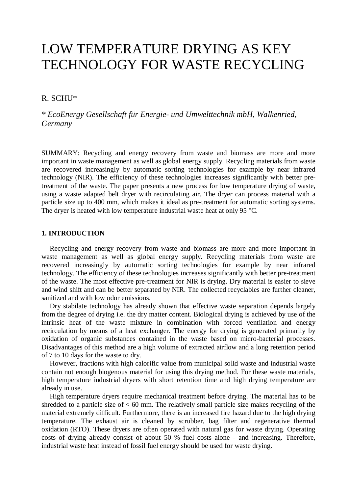# LOW TEMPERATURE DRYING AS KEY TECHNOLOGY FOR WASTE RECYCLING

## R. SCHU\*

*\* EcoEnergy Gesellschaft für Energie- und Umwelttechnik mbH, Walkenried, Germany* 

SUMMARY: Recycling and energy recovery from waste and biomass are more and more important in waste management as well as global energy supply. Recycling materials from waste are recovered increasingly by automatic sorting technologies for example by near infrared technology (NIR). The efficiency of these technologies increases significantly with better pretreatment of the waste. The paper presents a new process for low temperature drying of waste, using a waste adapted belt dryer with recirculating air. The dryer can process material with a particle size up to 400 mm, which makes it ideal as pre-treatment for automatic sorting systems. The dryer is heated with low temperature industrial waste heat at only 95 °C.

## **1. INTRODUCTION**

Recycling and energy recovery from waste and biomass are more and more important in waste management as well as global energy supply. Recycling materials from waste are recovered increasingly by automatic sorting technologies for example by near infrared technology. The efficiency of these technologies increases significantly with better pre-treatment of the waste. The most effective pre-treatment for NIR is drying. Dry material is easier to sieve and wind shift and can be better separated by NIR. The collected recyclables are further cleaner, sanitized and with low odor emissions.

Dry stabilate technology has already shown that effective waste separation depends largely from the degree of drying i.e. the dry matter content. Biological drying is achieved by use of the intrinsic heat of the waste mixture in combination with forced ventilation and energy recirculation by means of a heat exchanger. The energy for drying is generated primarily by oxidation of organic substances contained in the waste based on micro-bacterial processes. Disadvantages of this method are a high volume of extracted airflow and a long retention period of 7 to 10 days for the waste to dry.

However, fractions with high calorific value from municipal solid waste and industrial waste contain not enough biogenous material for using this drying method. For these waste materials, high temperature industrial dryers with short retention time and high drying temperature are already in use.

High temperature dryers require mechanical treatment before drying. The material has to be shredded to a particle size of  $< 60$  mm. The relatively small particle size makes recycling of the material extremely difficult. Furthermore, there is an increased fire hazard due to the high drying temperature. The exhaust air is cleaned by scrubber, bag filter and regenerative thermal oxidation (RTO). These dryers are often operated with natural gas for waste drying. Operating costs of drying already consist of about 50 % fuel costs alone - and increasing. Therefore, industrial waste heat instead of fossil fuel energy should be used for waste drying.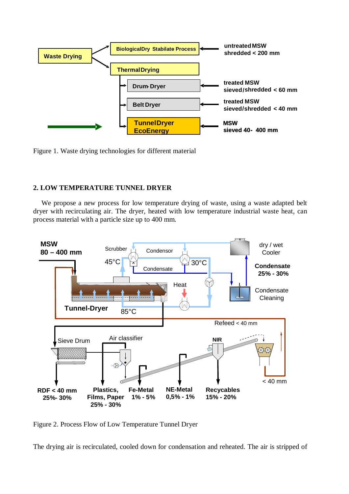

Figure 1. Waste drying technologies for different material

## **2. LOW TEMPERATURE TUNNEL DRYER**

We propose a new process for low temperature drying of waste, using a waste adapted belt dryer with recirculating air. The dryer, heated with low temperature industrial waste heat, can process material with a particle size up to 400 mm.



Figure 2. Process Flow of Low Temperature Tunnel Dryer

The drying air is recirculated, cooled down for condensation and reheated. The air is stripped of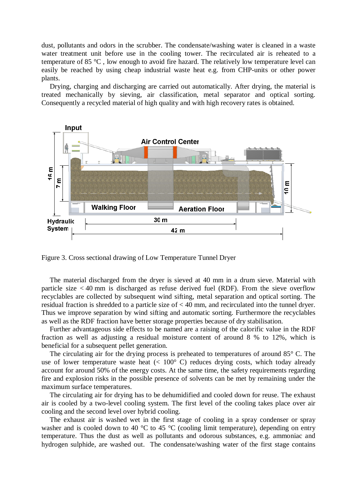dust, pollutants and odors in the scrubber. The condensate/washing water is cleaned in a waste water treatment unit before use in the cooling tower. The recirculated air is reheated to a temperature of 85 °C , low enough to avoid fire hazard. The relatively low temperature level can easily be reached by using cheap industrial waste heat e.g. from CHP-units or other power plants.

Drying, charging and discharging are carried out automatically. After drying, the material is treated mechanically by sieving, air classification, metal separator and optical sorting. Consequently a recycled material of high quality and with high recovery rates is obtained.



Figure 3. Cross sectional drawing of Low Temperature Tunnel Dryer

The material discharged from the dryer is sieved at 40 mm in a drum sieve. Material with particle size  $<$  40 mm is discharged as refuse derived fuel (RDF). From the sieve overflow recyclables are collected by subsequent wind sifting, metal separation and optical sorting. The residual fraction is shredded to a particle size of < 40 mm, and recirculated into the tunnel dryer. Thus we improve separation by wind sifting and automatic sorting. Furthermore the recyclables as well as the RDF fraction have better storage properties because of dry stabilisation.

Further advantageous side effects to be named are a raising of the calorific value in the RDF fraction as well as adjusting a residual moisture content of around 8 % to 12%, which is beneficial for a subsequent pellet generation.

The circulating air for the drying process is preheated to temperatures of around 85° C. The use of lower temperature waste heat  $(< 100^{\circ}$  C) reduces drying costs, which today already account for around 50% of the energy costs. At the same time, the safety requirements regarding fire and explosion risks in the possible presence of solvents can be met by remaining under the maximum surface temperatures.

The circulating air for drying has to be dehumidified and cooled down for reuse. The exhaust air is cooled by a two-level cooling system. The first level of the cooling takes place over air cooling and the second level over hybrid cooling.

The exhaust air is washed wet in the first stage of cooling in a spray condenser or spray washer and is cooled down to 40 °C to 45 °C (cooling limit temperature), depending on entry temperature. Thus the dust as well as pollutants and odorous substances, e.g. ammoniac and hydrogen sulphide, are washed out. The condensate/washing water of the first stage contains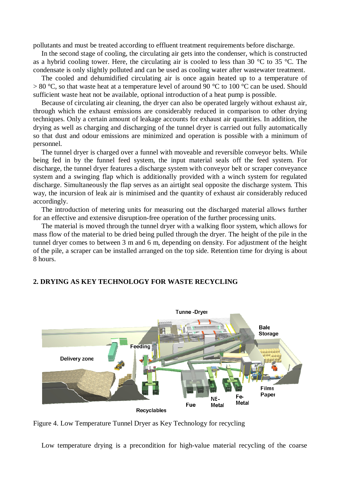pollutants and must be treated according to effluent treatment requirements before discharge.

In the second stage of cooling, the circulating air gets into the condenser, which is constructed as a hybrid cooling tower. Here, the circulating air is cooled to less than 30 °C to 35 °C. The condensate is only slightly polluted and can be used as cooling water after wastewater treatment.

The cooled and dehumidified circulating air is once again heated up to a temperature of  $> 80$  °C, so that waste heat at a temperature level of around 90 °C to 100 °C can be used. Should sufficient waste heat not be available, optional introduction of a heat pump is possible.

Because of circulating air cleaning, the dryer can also be operated largely without exhaust air, through which the exhaust emissions are considerably reduced in comparison to other drying techniques. Only a certain amount of leakage accounts for exhaust air quantities. In addition, the drying as well as charging and discharging of the tunnel dryer is carried out fully automatically so that dust and odour emissions are minimized and operation is possible with a minimum of personnel.

The tunnel dryer is charged over a funnel with moveable and reversible conveyor belts. While being fed in by the funnel feed system, the input material seals off the feed system. For discharge, the tunnel dryer features a discharge system with conveyor belt or scraper conveyance system and a swinging flap which is additionally provided with a winch system for regulated discharge. Simultaneously the flap serves as an airtight seal opposite the discharge system. This way, the incursion of leak air is minimised and the quantity of exhaust air considerably reduced accordingly.

The introduction of metering units for measuring out the discharged material allows further for an effective and extensive disruption-free operation of the further processing units.

The material is moved through the tunnel dryer with a walking floor system, which allows for mass flow of the material to be dried being pulled through the dryer. The height of the pile in the tunnel dryer comes to between 3 m and 6 m, depending on density. For adjustment of the height of the pile, a scraper can be installed arranged on the top side. Retention time for drying is about 8 hours.



## **2. DRYING AS KEY TECHNOLOGY FOR WASTE RECYCLING**

Figure 4. Low Temperature Tunnel Dryer as Key Technology for recycling

Low temperature drying is a precondition for high-value material recycling of the coarse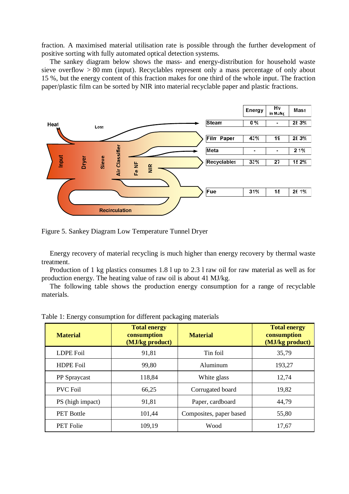fraction. A maximised material utilisation rate is possible through the further development of positive sorting with fully automated optical detection systems.

The sankey diagram below shows the mass- and energy-distribution for household waste sieve overflow > 80 mm (input). Recyclables represent only a mass percentage of only about 15 %, but the energy content of this fraction makes for one third of the whole input. The fraction paper/plastic film can be sorted by NIR into material recyclable paper and plastic fractions.



Figure 5. Sankey Diagram Low Temperature Tunnel Dryer

Energy recovery of material recycling is much higher than energy recovery by thermal waste treatment.

Production of 1 kg plastics consumes 1.8 l up to 2.3 l raw oil for raw material as well as for production energy. The heating value of raw oil is about 41 MJ/kg.

The following table shows the production energy consumption for a range of recyclable materials.

| <b>Material</b>     | <b>Total energy</b><br>consumption<br>(MJ/kg product) | <b>Material</b>         | <b>Total energy</b><br>consumption<br>(MJ/kg product) |
|---------------------|-------------------------------------------------------|-------------------------|-------------------------------------------------------|
| <b>LDPE</b> Foil    | 91,81                                                 | Tin foil                | 35,79                                                 |
| <b>HDPE Foil</b>    | 99,80                                                 | Aluminum                | 193,27                                                |
| <b>PP</b> Spraycast | 118,84                                                | White glass             | 12,74                                                 |
| <b>PVC Foil</b>     | 66,25                                                 | Corrugated board        | 19,82                                                 |
| PS (high impact)    | 91,81                                                 | Paper, cardboard        | 44,79                                                 |
| <b>PET Bottle</b>   | 101,44                                                | Composites, paper based | 55,80                                                 |
| <b>PET Folie</b>    | 109,19                                                | Wood                    | 17,67                                                 |

Table 1: Energy consumption for different packaging materials